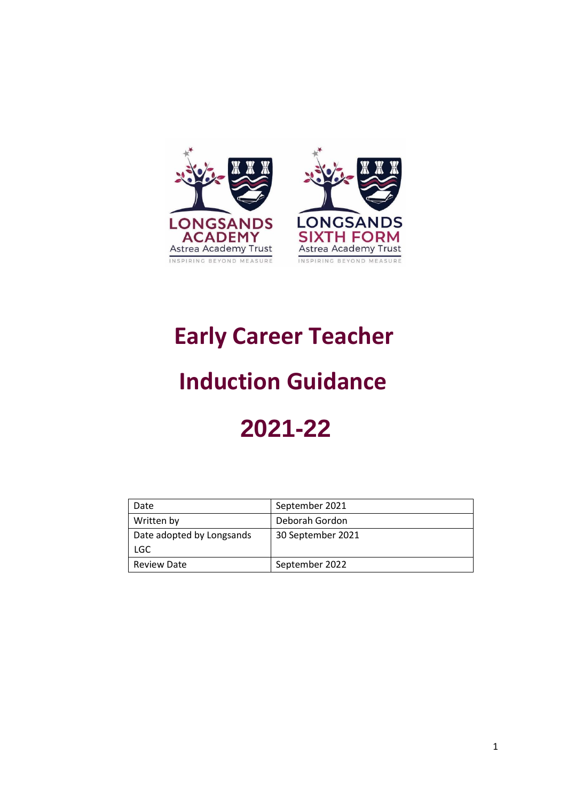

# **Early Career Teacher**

# **Induction Guidance**

# **2021-22**

| Date                      | September 2021    |
|---------------------------|-------------------|
| Written by                | Deborah Gordon    |
| Date adopted by Longsands | 30 September 2021 |
| LGC.                      |                   |
| <b>Review Date</b>        | September 2022    |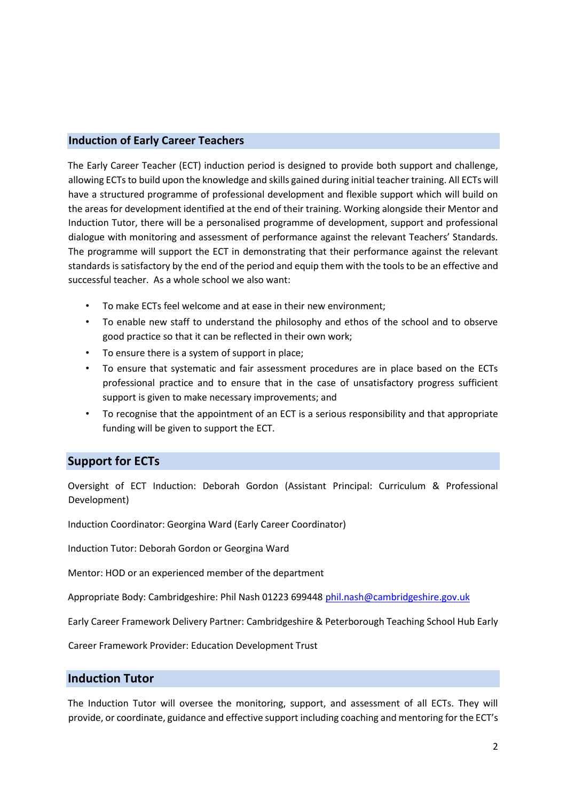### **Induction of Early Career Teachers**

The Early Career Teacher (ECT) induction period is designed to provide both support and challenge, allowing ECTs to build upon the knowledge and skills gained during initial teacher training. All ECTs will have a structured programme of professional development and flexible support which will build on the areas for development identified at the end of their training. Working alongside their Mentor and Induction Tutor, there will be a personalised programme of development, support and professional dialogue with monitoring and assessment of performance against the relevant Teachers' Standards. The programme will support the ECT in demonstrating that their performance against the relevant standards is satisfactory by the end of the period and equip them with the tools to be an effective and successful teacher. As a whole school we also want:

- To make ECTs feel welcome and at ease in their new environment;
- To enable new staff to understand the philosophy and ethos of the school and to observe good practice so that it can be reflected in their own work;
- To ensure there is a system of support in place;
- To ensure that systematic and fair assessment procedures are in place based on the ECTs professional practice and to ensure that in the case of unsatisfactory progress sufficient support is given to make necessary improvements; and
- To recognise that the appointment of an ECT is a serious responsibility and that appropriate funding will be given to support the ECT.

### **Support for ECTs**

Oversight of ECT Induction: Deborah Gordon (Assistant Principal: Curriculum & Professional Development)

Induction Coordinator: Georgina Ward (Early Career Coordinator)

Induction Tutor: Deborah Gordon or Georgina Ward

Mentor: HOD or an experienced member of the department

Appropriate Body: Cambridgeshire: Phil Nash 01223 699448 phil.nash@cambridgeshire.gov.uk

Early Career Framework Delivery Partner: Cambridgeshire & Peterborough Teaching School Hub Early

Career Framework Provider: Education Development Trust

### **Induction Tutor**

The Induction Tutor will oversee the monitoring, support, and assessment of all ECTs. They will provide, or coordinate, guidance and effective support including coaching and mentoring for the ECT's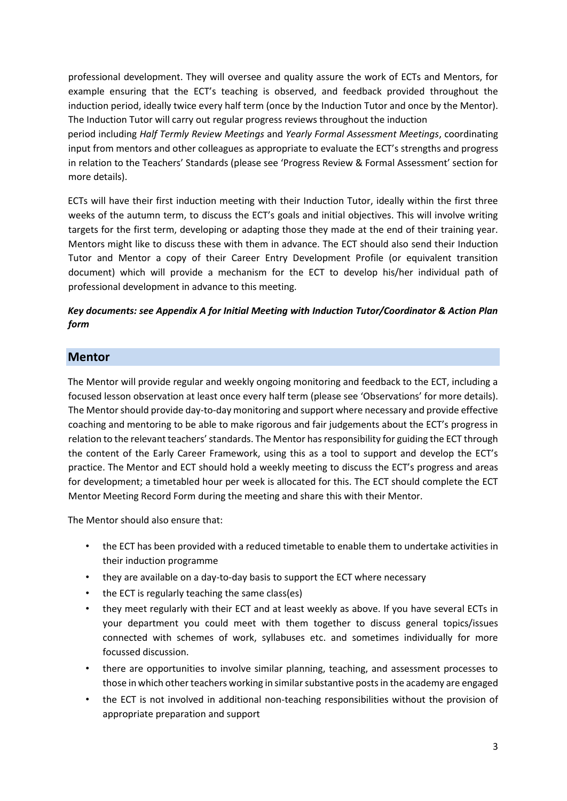professional development. They will oversee and quality assure the work of ECTs and Mentors, for example ensuring that the ECT's teaching is observed, and feedback provided throughout the induction period, ideally twice every half term (once by the Induction Tutor and once by the Mentor). The Induction Tutor will carry out regular progress reviews throughout the induction

period including *Half Termly Review Meetings* and *Yearly Formal Assessment Meetings*, coordinating input from mentors and other colleagues as appropriate to evaluate the ECT's strengths and progress in relation to the Teachers' Standards (please see 'Progress Review & Formal Assessment' section for more details).

ECTs will have their first induction meeting with their Induction Tutor, ideally within the first three weeks of the autumn term, to discuss the ECT's goals and initial objectives. This will involve writing targets for the first term, developing or adapting those they made at the end of their training year. Mentors might like to discuss these with them in advance. The ECT should also send their Induction Tutor and Mentor a copy of their Career Entry Development Profile (or equivalent transition document) which will provide a mechanism for the ECT to develop his/her individual path of professional development in advance to this meeting.

### *Key documents: see Appendix A for Initial Meeting with Induction Tutor/Coordinator & Action Plan form*

### **Mentor**

The Mentor will provide regular and weekly ongoing monitoring and feedback to the ECT, including a focused lesson observation at least once every half term (please see 'Observations' for more details). The Mentor should provide day-to-day monitoring and support where necessary and provide effective coaching and mentoring to be able to make rigorous and fair judgements about the ECT's progress in relation to the relevant teachers' standards. The Mentor has responsibility for guiding the ECT through the content of the Early Career Framework, using this as a tool to support and develop the ECT's practice. The Mentor and ECT should hold a weekly meeting to discuss the ECT's progress and areas for development; a timetabled hour per week is allocated for this. The ECT should complete the ECT Mentor Meeting Record Form during the meeting and share this with their Mentor.

The Mentor should also ensure that:

- the ECT has been provided with a reduced timetable to enable them to undertake activities in their induction programme
- they are available on a day-to-day basis to support the ECT where necessary
- the ECT is regularly teaching the same class(es)
- they meet regularly with their ECT and at least weekly as above. If you have several ECTs in your department you could meet with them together to discuss general topics/issues connected with schemes of work, syllabuses etc. and sometimes individually for more focussed discussion.
- there are opportunities to involve similar planning, teaching, and assessment processes to those in which other teachers working in similar substantive posts in the academy are engaged
- the ECT is not involved in additional non-teaching responsibilities without the provision of appropriate preparation and support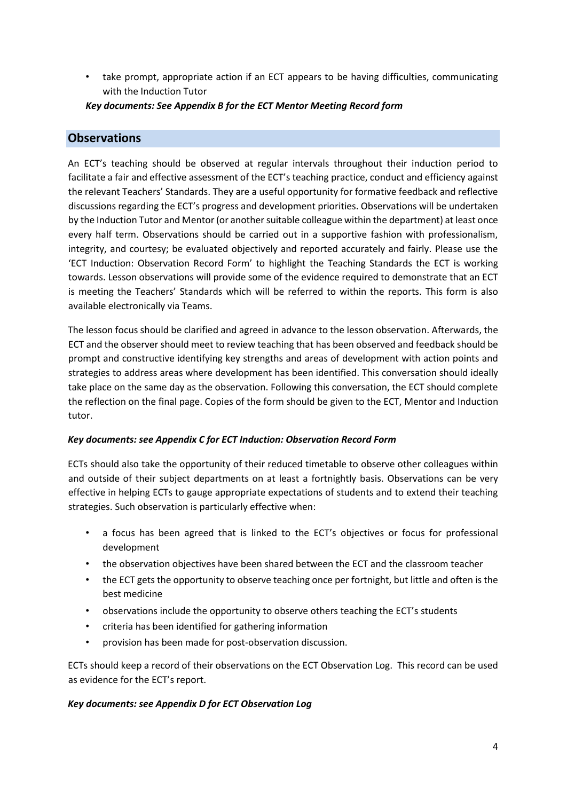• take prompt, appropriate action if an ECT appears to be having difficulties, communicating with the Induction Tutor

*Key documents: See Appendix B for the ECT Mentor Meeting Record form* 

### **Observations**

An ECT's teaching should be observed at regular intervals throughout their induction period to facilitate a fair and effective assessment of the ECT's teaching practice, conduct and efficiency against the relevant Teachers' Standards. They are a useful opportunity for formative feedback and reflective discussions regarding the ECT's progress and development priorities. Observations will be undertaken by the Induction Tutor and Mentor (or another suitable colleague within the department) at least once every half term. Observations should be carried out in a supportive fashion with professionalism, integrity, and courtesy; be evaluated objectively and reported accurately and fairly. Please use the 'ECT Induction: Observation Record Form' to highlight the Teaching Standards the ECT is working towards. Lesson observations will provide some of the evidence required to demonstrate that an ECT is meeting the Teachers' Standards which will be referred to within the reports. This form is also available electronically via Teams.

The lesson focus should be clarified and agreed in advance to the lesson observation. Afterwards, the ECT and the observer should meet to review teaching that has been observed and feedback should be prompt and constructive identifying key strengths and areas of development with action points and strategies to address areas where development has been identified. This conversation should ideally take place on the same day as the observation. Following this conversation, the ECT should complete the reflection on the final page. Copies of the form should be given to the ECT, Mentor and Induction tutor.

### *Key documents: see Appendix C for ECT Induction: Observation Record Form*

ECTs should also take the opportunity of their reduced timetable to observe other colleagues within and outside of their subject departments on at least a fortnightly basis. Observations can be very effective in helping ECTs to gauge appropriate expectations of students and to extend their teaching strategies. Such observation is particularly effective when:

- a focus has been agreed that is linked to the ECT's objectives or focus for professional development
- the observation objectives have been shared between the ECT and the classroom teacher
- the ECT gets the opportunity to observe teaching once per fortnight, but little and often is the best medicine
- observations include the opportunity to observe others teaching the ECT's students
- criteria has been identified for gathering information
- provision has been made for post-observation discussion.

ECTs should keep a record of their observations on the ECT Observation Log. This record can be used as evidence for the ECT's report.

### *Key documents: see Appendix D for ECT Observation Log*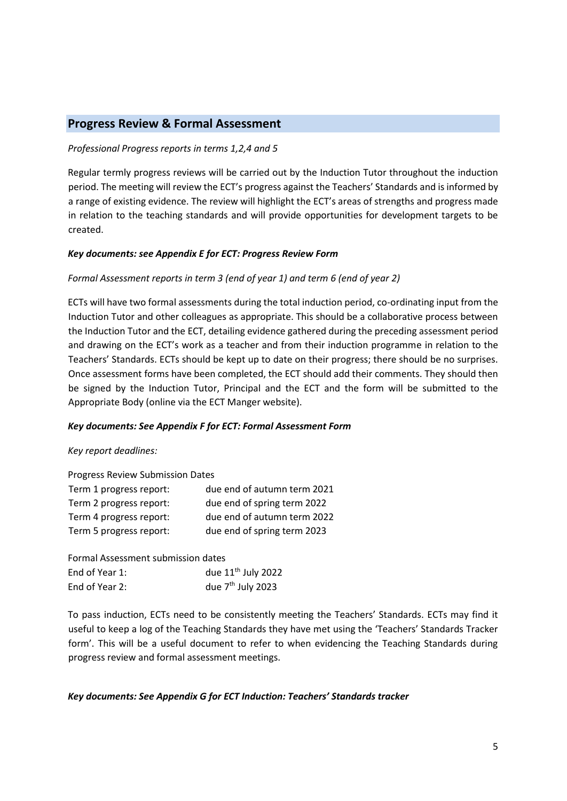### **Progress Review & Formal Assessment**

### *Professional Progress reports in terms 1,2,4 and 5*

Regular termly progress reviews will be carried out by the Induction Tutor throughout the induction period. The meeting will review the ECT's progress against the Teachers' Standards and is informed by a range of existing evidence. The review will highlight the ECT's areas of strengths and progress made in relation to the teaching standards and will provide opportunities for development targets to be created.

### *Key documents: see Appendix E for ECT: Progress Review Form*

### *Formal Assessment reports in term 3 (end of year 1) and term 6 (end of year 2)*

ECTs will have two formal assessments during the total induction period, co-ordinating input from the Induction Tutor and other colleagues as appropriate. This should be a collaborative process between the Induction Tutor and the ECT, detailing evidence gathered during the preceding assessment period and drawing on the ECT's work as a teacher and from their induction programme in relation to the Teachers' Standards. ECTs should be kept up to date on their progress; there should be no surprises. Once assessment forms have been completed, the ECT should add their comments. They should then be signed by the Induction Tutor, Principal and the ECT and the form will be submitted to the Appropriate Body (online via the ECT Manger website).

### *Key documents: See Appendix F for ECT: Formal Assessment Form*

### *Key report deadlines:*

| Progress Review Submission Dates |                             |  |  |
|----------------------------------|-----------------------------|--|--|
| Term 1 progress report:          | due end of autumn term 2021 |  |  |
| Term 2 progress report:          | due end of spring term 2022 |  |  |
| Term 4 progress report:          | due end of autumn term 2022 |  |  |
| Term 5 progress report:          | due end of spring term 2023 |  |  |

| Formal Assessment submission dates |                      |
|------------------------------------|----------------------|
| End of Year 1:                     | due $11th$ July 2022 |
| End of Year 2:                     | due $7th$ July 2023  |

To pass induction, ECTs need to be consistently meeting the Teachers' Standards. ECTs may find it useful to keep a log of the Teaching Standards they have met using the 'Teachers' Standards Tracker form'. This will be a useful document to refer to when evidencing the Teaching Standards during progress review and formal assessment meetings.

### *Key documents: See Appendix G for ECT Induction: Teachers' Standards tracker*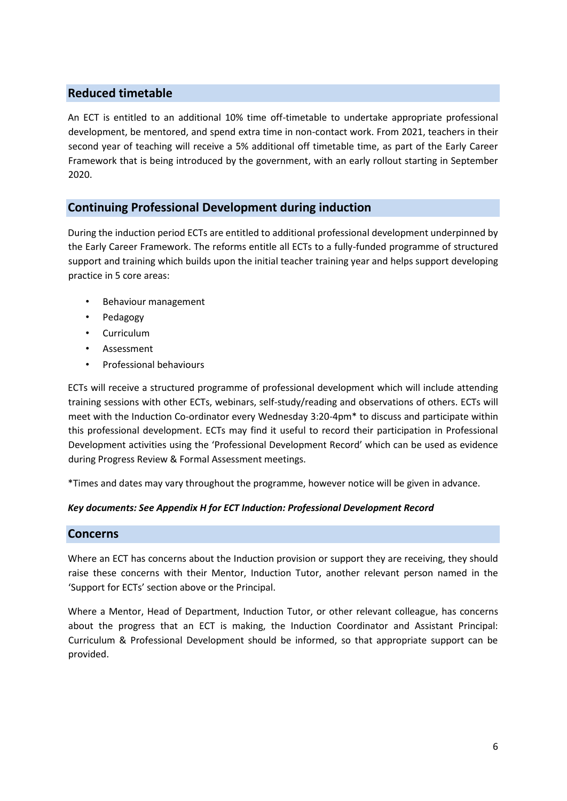### **Reduced timetable**

An ECT is entitled to an additional 10% time off-timetable to undertake appropriate professional development, be mentored, and spend extra time in non-contact work. From 2021, teachers in their second year of teaching will receive a 5% additional off timetable time, as part of the Early Career Framework that is being introduced by the government, with an early rollout starting in September 2020.

### **Continuing Professional Development during induction**

During the induction period ECTs are entitled to additional professional development underpinned by the Early Career Framework. The reforms entitle all ECTs to a fully-funded programme of structured support and training which builds upon the initial teacher training year and helps support developing practice in 5 core areas:

- Behaviour management
- Pedagogy
- Curriculum
- Assessment
- Professional behaviours

ECTs will receive a structured programme of professional development which will include attending training sessions with other ECTs, webinars, self-study/reading and observations of others. ECTs will meet with the Induction Co-ordinator every Wednesday 3:20-4pm\* to discuss and participate within this professional development. ECTs may find it useful to record their participation in Professional Development activities using the 'Professional Development Record' which can be used as evidence during Progress Review & Formal Assessment meetings.

\*Times and dates may vary throughout the programme, however notice will be given in advance.

### *Key documents: See Appendix H for ECT Induction: Professional Development Record*

### **Concerns**

Where an ECT has concerns about the Induction provision or support they are receiving, they should raise these concerns with their Mentor, Induction Tutor, another relevant person named in the 'Support for ECTs' section above or the Principal.

Where a Mentor, Head of Department, Induction Tutor, or other relevant colleague, has concerns about the progress that an ECT is making, the Induction Coordinator and Assistant Principal: Curriculum & Professional Development should be informed, so that appropriate support can be provided.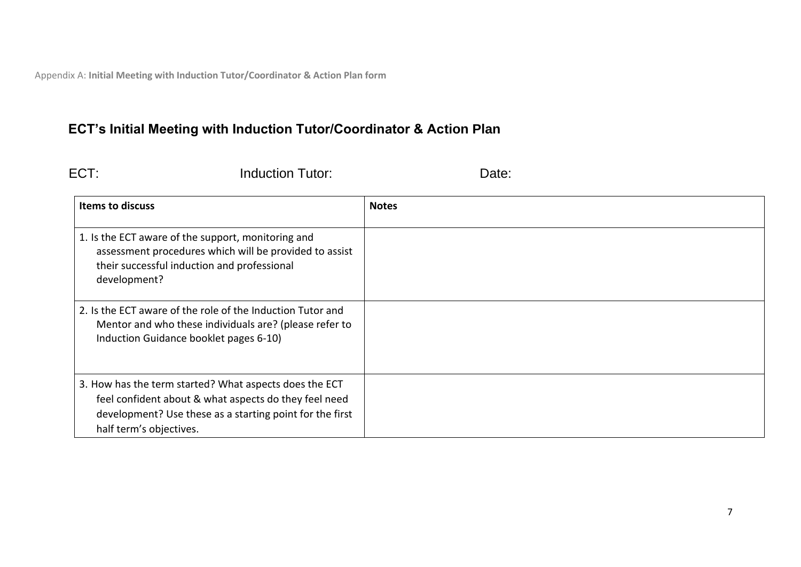Appendix A: **Initial Meeting with Induction Tutor/Coordinator & Action Plan form**

## **ECT's Initial Meeting with Induction Tutor/Coordinator & Action Plan**

ECT: Induction Tutor: Date: Date:

| <b>Items to discuss</b>                                                                                                                                                                                | <b>Notes</b> |
|--------------------------------------------------------------------------------------------------------------------------------------------------------------------------------------------------------|--------------|
| 1. Is the ECT aware of the support, monitoring and<br>assessment procedures which will be provided to assist<br>their successful induction and professional<br>development?                            |              |
| 2. Is the ECT aware of the role of the Induction Tutor and<br>Mentor and who these individuals are? (please refer to<br>Induction Guidance booklet pages 6-10)                                         |              |
| 3. How has the term started? What aspects does the ECT<br>feel confident about & what aspects do they feel need<br>development? Use these as a starting point for the first<br>half term's objectives. |              |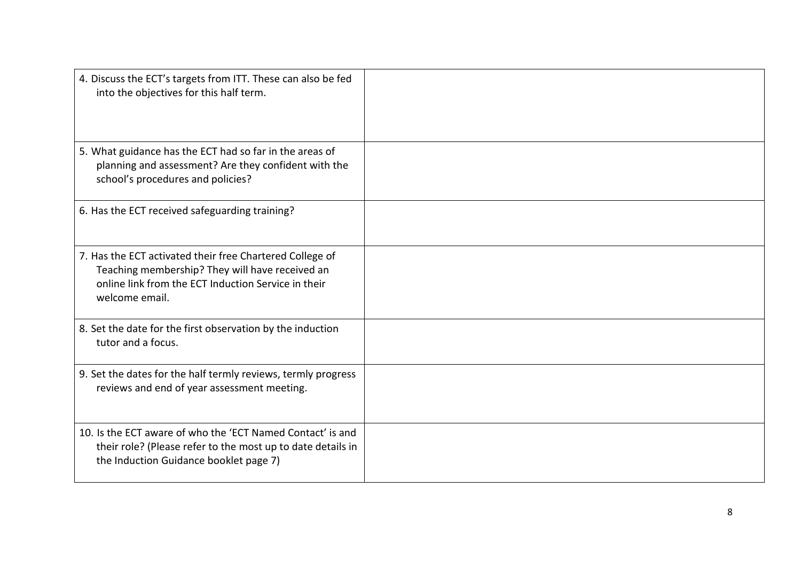| 4. Discuss the ECT's targets from ITT. These can also be fed<br>into the objectives for this half term.                                                                              |  |
|--------------------------------------------------------------------------------------------------------------------------------------------------------------------------------------|--|
| 5. What guidance has the ECT had so far in the areas of<br>planning and assessment? Are they confident with the<br>school's procedures and policies?                                 |  |
| 6. Has the ECT received safeguarding training?                                                                                                                                       |  |
| 7. Has the ECT activated their free Chartered College of<br>Teaching membership? They will have received an<br>online link from the ECT Induction Service in their<br>welcome email. |  |
| 8. Set the date for the first observation by the induction<br>tutor and a focus.                                                                                                     |  |
| 9. Set the dates for the half termly reviews, termly progress<br>reviews and end of year assessment meeting.                                                                         |  |
| 10. Is the ECT aware of who the 'ECT Named Contact' is and<br>their role? (Please refer to the most up to date details in<br>the Induction Guidance booklet page 7)                  |  |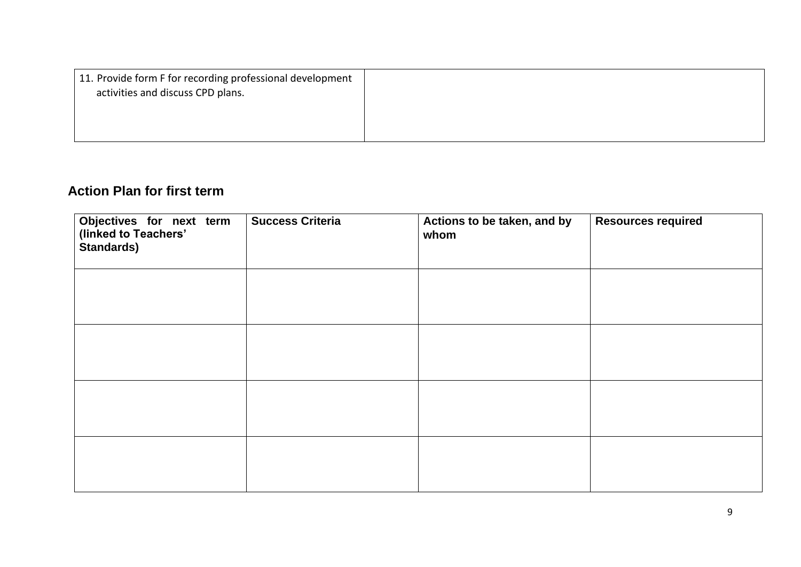| 11. Provide form F for recording professional development<br>activities and discuss CPD plans. |  |
|------------------------------------------------------------------------------------------------|--|
|                                                                                                |  |
|                                                                                                |  |

### **Action Plan for first term**

| Objectives for next term<br>(linked to Teachers'<br><b>Standards)</b> | <b>Success Criteria</b> | Actions to be taken, and by<br>whom | <b>Resources required</b> |
|-----------------------------------------------------------------------|-------------------------|-------------------------------------|---------------------------|
|                                                                       |                         |                                     |                           |
|                                                                       |                         |                                     |                           |
|                                                                       |                         |                                     |                           |
|                                                                       |                         |                                     |                           |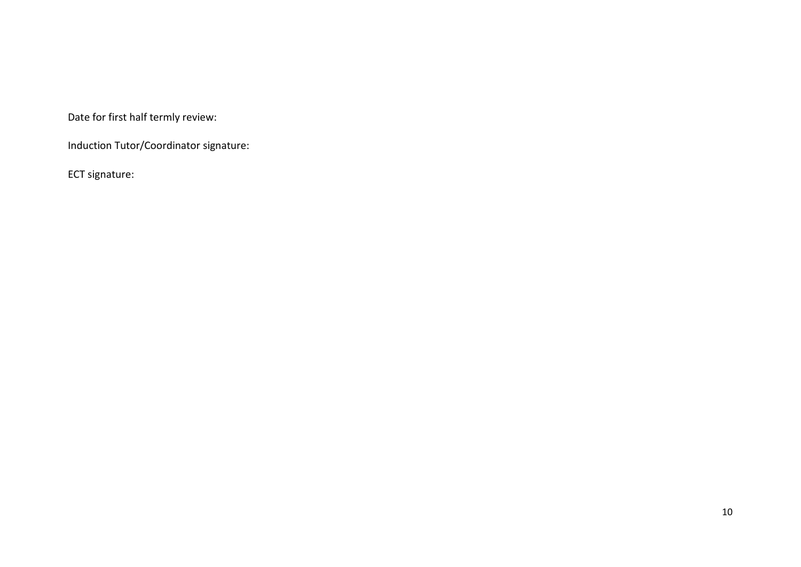Date for first half termly review:

Induction Tutor/Coordinator signature:

ECT signature: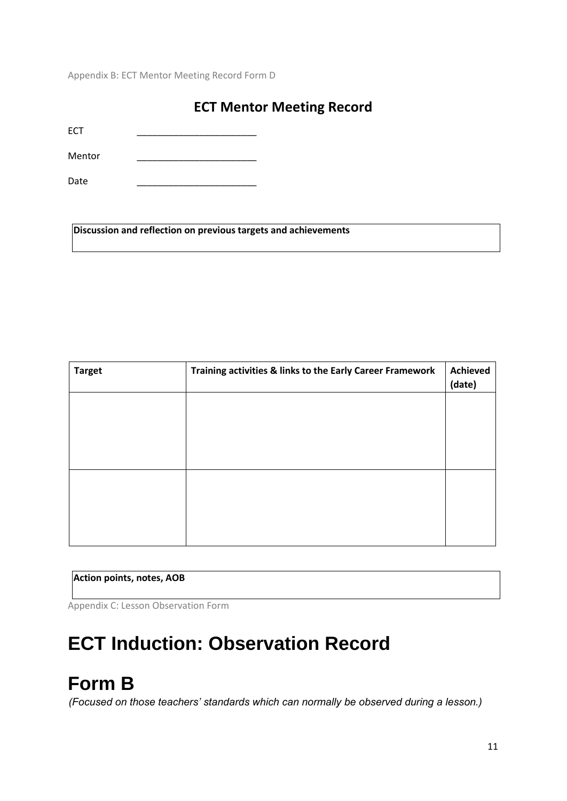Appendix B: ECT Mentor Meeting Record Form D

### **ECT Mentor Meeting Record**

ECT \_\_\_\_\_\_\_\_\_\_\_\_\_\_\_\_\_\_\_\_\_\_\_

Mentor \_\_\_\_\_\_\_\_\_\_\_\_\_\_\_\_\_\_\_\_\_\_\_

Date \_\_\_\_\_\_\_\_\_\_\_\_\_\_\_\_\_\_\_\_\_\_\_

**Discussion and reflection on previous targets and achievements** 

| <b>Target</b> | Training activities & links to the Early Career Framework | <b>Achieved</b><br>(date) |
|---------------|-----------------------------------------------------------|---------------------------|
|               |                                                           |                           |
|               |                                                           |                           |
|               |                                                           |                           |
|               |                                                           |                           |
|               |                                                           |                           |
|               |                                                           |                           |

### **Action points, notes, AOB**

Appendix C: Lesson Observation Form

# **ECT Induction: Observation Record**

# **Form B**

*(Focused on those teachers' standards which can normally be observed during a lesson.)*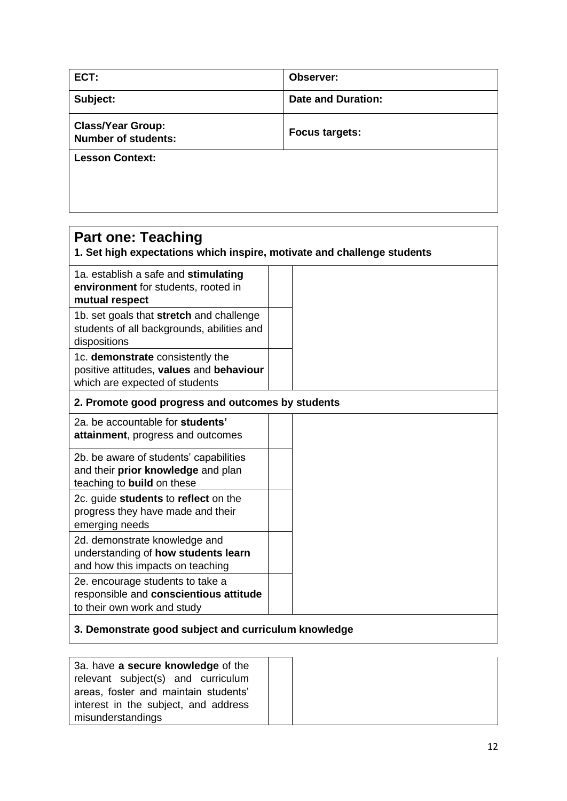| ECT:                                                   | Observer:                 |
|--------------------------------------------------------|---------------------------|
| Subject:                                               | <b>Date and Duration:</b> |
| <b>Class/Year Group:</b><br><b>Number of students:</b> | <b>Focus targets:</b>     |
| <b>Lesson Context:</b>                                 |                           |
|                                                        |                           |
|                                                        |                           |

| <b>Part one: Teaching</b><br>1. Set high expectations which inspire, motivate and challenge students           |  |  |
|----------------------------------------------------------------------------------------------------------------|--|--|
| 1a. establish a safe and stimulating<br>environment for students, rooted in<br>mutual respect                  |  |  |
| 1b. set goals that stretch and challenge<br>students of all backgrounds, abilities and<br>dispositions         |  |  |
| 1c. demonstrate consistently the<br>positive attitudes, values and behaviour<br>which are expected of students |  |  |
| 2. Promote good progress and outcomes by students                                                              |  |  |
| 2a. be accountable for students'<br>attainment, progress and outcomes                                          |  |  |
| 2b. be aware of students' capabilities<br>and their prior knowledge and plan<br>teaching to build on these     |  |  |
| 2c. guide students to reflect on the<br>progress they have made and their<br>emerging needs                    |  |  |
| 2d. demonstrate knowledge and<br>understanding of how students learn<br>and how this impacts on teaching       |  |  |
| 2e. encourage students to take a<br>responsible and conscientious attitude<br>to their own work and study      |  |  |
| 3. Demonstrate good subject and curriculum knowledge                                                           |  |  |

| 3a. have a secure knowledge of the<br>relevant subject(s) and curriculum<br>areas, foster and maintain students' |
|------------------------------------------------------------------------------------------------------------------|
| interest in the subject, and address                                                                             |
| misunderstandings                                                                                                |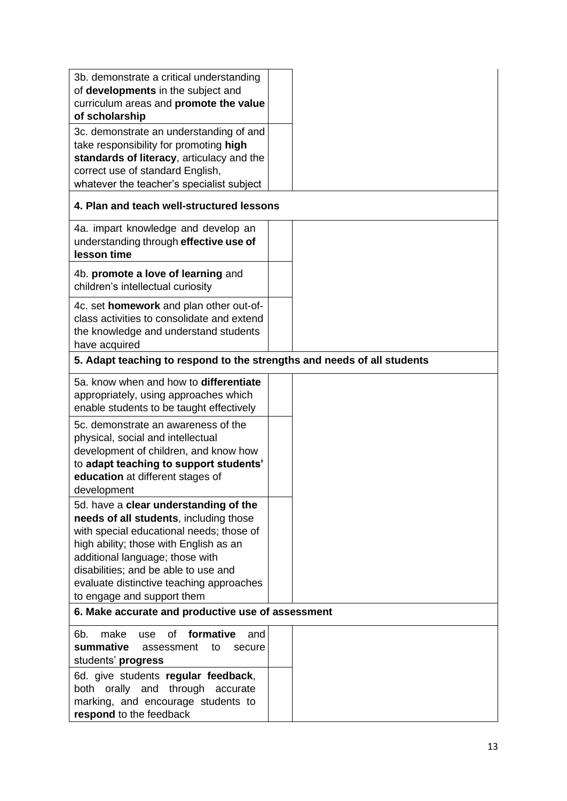| 3b. demonstrate a critical understanding<br>of developments in the subject and<br>curriculum areas and promote the value                                                                                                                                                                                                   |  |
|----------------------------------------------------------------------------------------------------------------------------------------------------------------------------------------------------------------------------------------------------------------------------------------------------------------------------|--|
| of scholarship                                                                                                                                                                                                                                                                                                             |  |
| 3c. demonstrate an understanding of and<br>take responsibility for promoting high<br>standards of literacy, articulacy and the<br>correct use of standard English,<br>whatever the teacher's specialist subject                                                                                                            |  |
| 4. Plan and teach well-structured lessons                                                                                                                                                                                                                                                                                  |  |
| 4a. impart knowledge and develop an<br>understanding through effective use of<br>lesson time                                                                                                                                                                                                                               |  |
| 4b. promote a love of learning and<br>children's intellectual curiosity                                                                                                                                                                                                                                                    |  |
| 4c. set homework and plan other out-of-<br>class activities to consolidate and extend<br>the knowledge and understand students<br>have acquired                                                                                                                                                                            |  |
| 5. Adapt teaching to respond to the strengths and needs of all students                                                                                                                                                                                                                                                    |  |
| 5a. know when and how to differentiate<br>appropriately, using approaches which<br>enable students to be taught effectively                                                                                                                                                                                                |  |
| 5c. demonstrate an awareness of the<br>physical, social and intellectual<br>development of children, and know how<br>to adapt teaching to support students'<br>education at different stages of<br>development                                                                                                             |  |
| 5d. have a clear understanding of the<br>needs of all students, including those<br>with special educational needs; those of<br>high ability; those with English as an<br>additional language; those with<br>disabilities; and be able to use and<br>evaluate distinctive teaching approaches<br>to engage and support them |  |
| 6. Make accurate and productive use of assessment                                                                                                                                                                                                                                                                          |  |
| formative<br>6b.<br>make<br>0f<br>and<br>use<br>summative<br>assessment<br>to<br>secure<br>students' progress                                                                                                                                                                                                              |  |
| 6d. give students regular feedback,<br>both orally and through accurate<br>marking, and encourage students to<br>respond to the feedback                                                                                                                                                                                   |  |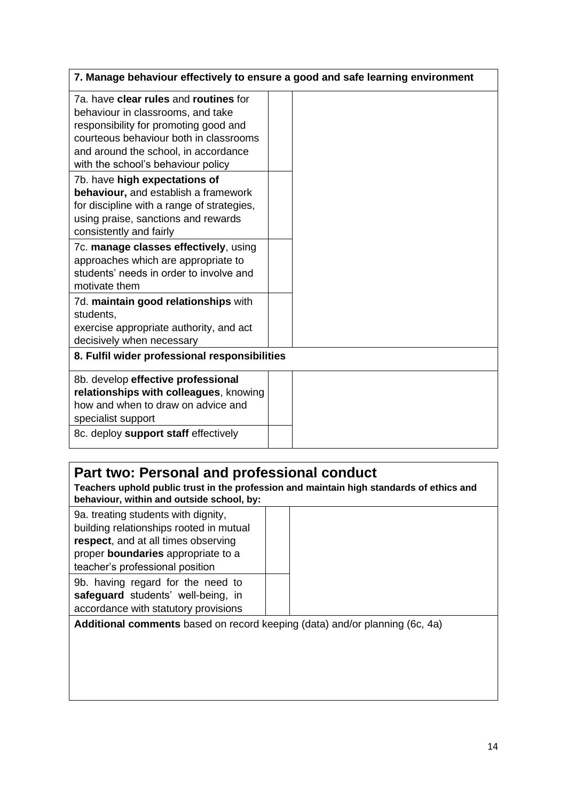|                                                                                                                                                                                                                                             | 7. Manage behaviour effectively to ensure a good and safe learning environment |
|---------------------------------------------------------------------------------------------------------------------------------------------------------------------------------------------------------------------------------------------|--------------------------------------------------------------------------------|
| 7a. have clear rules and routines for<br>behaviour in classrooms, and take<br>responsibility for promoting good and<br>courteous behaviour both in classrooms<br>and around the school, in accordance<br>with the school's behaviour policy |                                                                                |
| 7b. have high expectations of<br>behaviour, and establish a framework<br>for discipline with a range of strategies,<br>using praise, sanctions and rewards<br>consistently and fairly                                                       |                                                                                |
| 7c. manage classes effectively, using<br>approaches which are appropriate to<br>students' needs in order to involve and<br>motivate them                                                                                                    |                                                                                |
| 7d. maintain good relationships with<br>students,<br>exercise appropriate authority, and act<br>decisively when necessary                                                                                                                   |                                                                                |
| 8. Fulfil wider professional responsibilities                                                                                                                                                                                               |                                                                                |
| 8b. develop effective professional<br>relationships with colleagues, knowing<br>how and when to draw on advice and<br>specialist support<br>8c. deploy support staff effectively                                                            |                                                                                |
|                                                                                                                                                                                                                                             |                                                                                |

## **Part two: Personal and professional conduct**

**Teachers uphold public trust in the profession and maintain high standards of ethics and behaviour, within and outside school, by:**

| 9a. treating students with dignity,<br>building relationships rooted in mutual<br>respect, and at all times observing<br>proper boundaries appropriate to a |  |
|-------------------------------------------------------------------------------------------------------------------------------------------------------------|--|
| teacher's professional position                                                                                                                             |  |
| 9b. having regard for the need to<br>safeguard students' well-being, in<br>accordance with statutory provisions                                             |  |
| Aditional comments has ad on record keeping (data) and/or planning (6c, 4a)                                                                                 |  |

**Additional comments** based on record keeping (data) and/or planning (6c, 4a)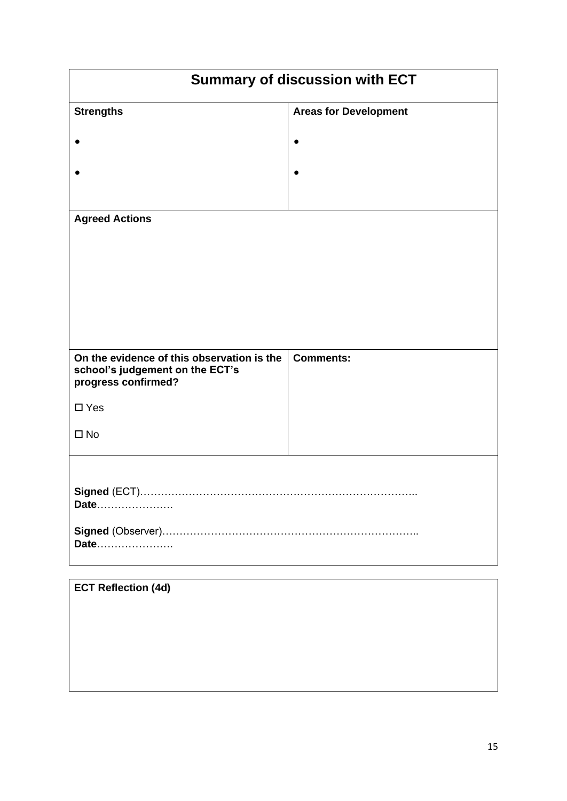| <b>Summary of discussion with ECT</b>                                                                |                              |  |  |  |  |
|------------------------------------------------------------------------------------------------------|------------------------------|--|--|--|--|
| <b>Strengths</b>                                                                                     | <b>Areas for Development</b> |  |  |  |  |
|                                                                                                      |                              |  |  |  |  |
|                                                                                                      |                              |  |  |  |  |
| <b>Agreed Actions</b>                                                                                |                              |  |  |  |  |
| On the evidence of this observation is the<br>school's judgement on the ECT's<br>progress confirmed? | <b>Comments:</b>             |  |  |  |  |
| $\square$ Yes                                                                                        |                              |  |  |  |  |
| $\square$ No                                                                                         |                              |  |  |  |  |
| Date<br>Date                                                                                         |                              |  |  |  |  |
| <b>ECT Reflection (4d)</b>                                                                           |                              |  |  |  |  |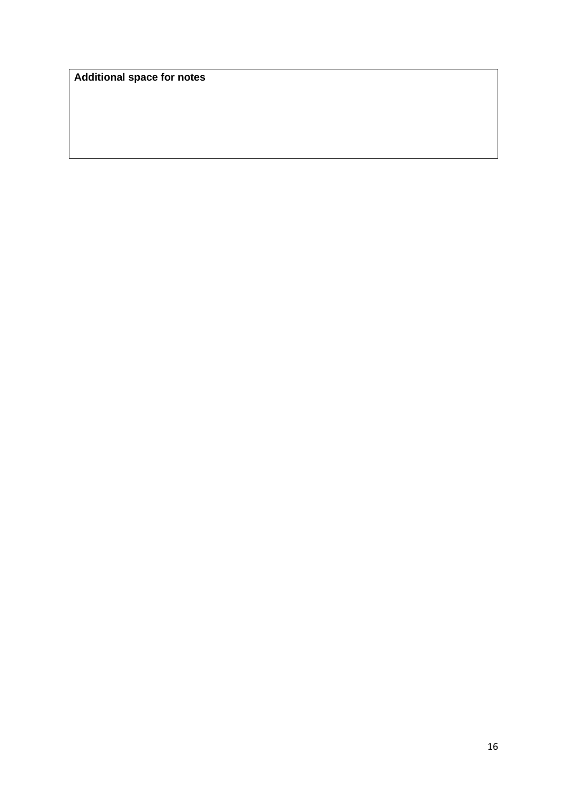**Additional space for notes**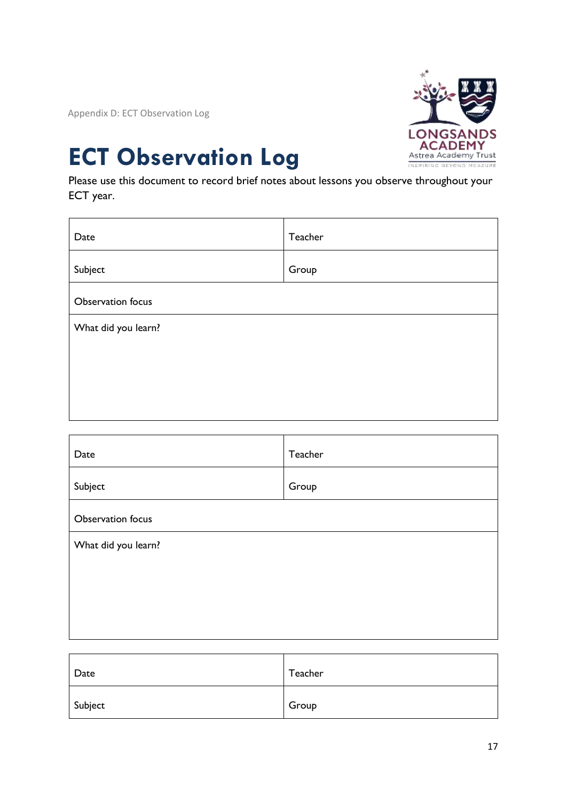Appendix D: ECT Observation Log



# **ECT Observation Log**

Please use this document to record brief notes about lessons you observe throughout your ECT year.

| Date                | Teacher |
|---------------------|---------|
| Subject             | Group   |
| Observation focus   |         |
| What did you learn? |         |
|                     |         |
|                     |         |
|                     |         |

| Date                | Teacher |
|---------------------|---------|
| Subject             | Group   |
| Observation focus   |         |
| What did you learn? |         |
|                     |         |
|                     |         |
|                     |         |

| Date    | Teacher |
|---------|---------|
| Subject | Group   |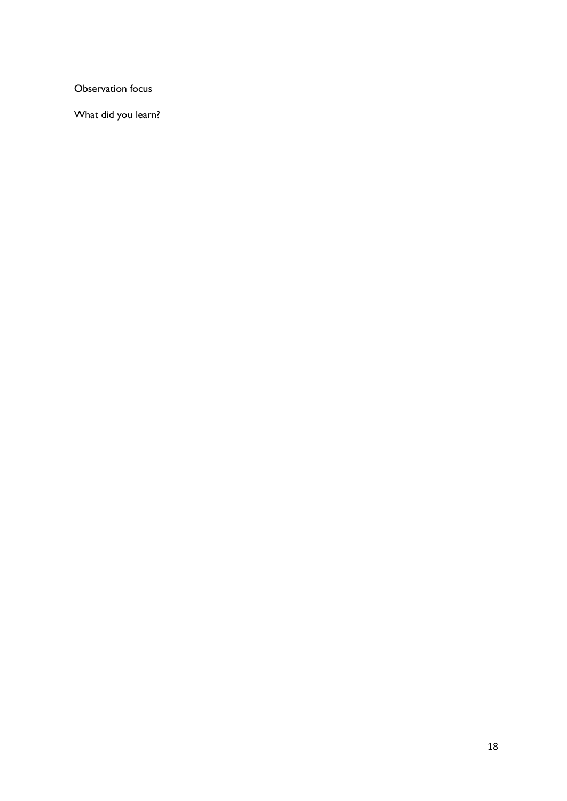Observation focus

What did you learn?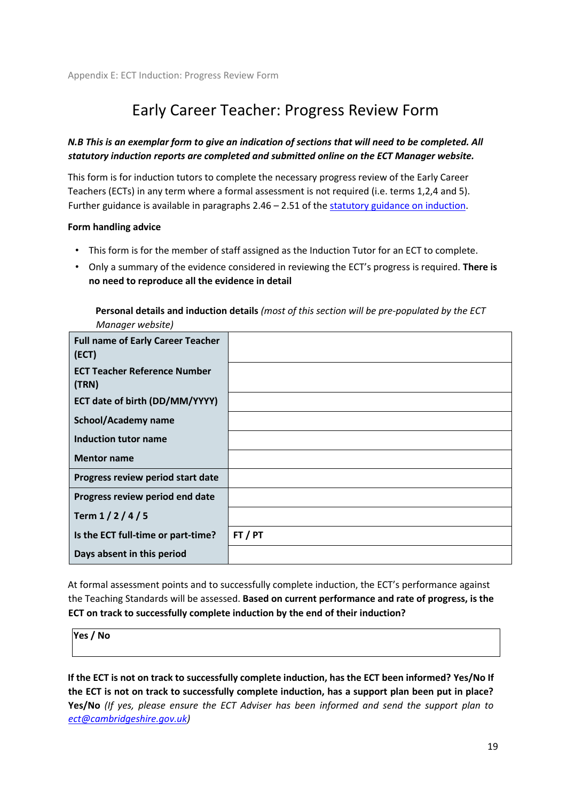## Early Career Teacher: Progress Review Form

### *N.B This is an exemplar form to give an indication of sections that will need to be completed. All statutory induction reports are completed and submitted online on the ECT Manager website.*

This form is for induction tutors to complete the necessary progress review of the Early Career Teachers (ECTs) in any term where a formal assessment is not required (i.e. terms 1,2,4 and 5). Further guidance is available in paragraphs 2.46 – 2.51 of th[e statutory guidance on induction.](https://www.gov.uk/government/publications/induction-for-early-career-teachers-england#length-of-induction)

### **Form handling advice**

- This form is for the member of staff assigned as the Induction Tutor for an ECT to complete.
- Only a summary of the evidence considered in reviewing the ECT's progress is required. **There is no need to reproduce all the evidence in detail**

**Personal details and induction details** *(most of this section will be pre-populated by the ECT Manager website)* 

| <b>Full name of Early Career Teacher</b><br>(ECT) |       |
|---------------------------------------------------|-------|
| <b>ECT Teacher Reference Number</b><br>(TRN)      |       |
| ECT date of birth (DD/MM/YYYY)                    |       |
| <b>School/Academy name</b>                        |       |
| <b>Induction tutor name</b>                       |       |
| <b>Mentor name</b>                                |       |
| Progress review period start date                 |       |
| Progress review period end date                   |       |
| Term $1/2/4/5$                                    |       |
| Is the ECT full-time or part-time?                | FT/PT |
| Days absent in this period                        |       |

At formal assessment points and to successfully complete induction, the ECT's performance against the Teaching Standards will be assessed. **Based on current performance and rate of progress, is the ECT on track to successfully complete induction by the end of their induction?**

**Yes / No** 

**If the ECT is not on track to successfully complete induction, has the ECT been informed? Yes/No If the ECT is not on track to successfully complete induction, has a support plan been put in place? Yes/No** *(If yes, please ensure the ECT Adviser has been informed and send the support plan to ect@cambridgeshire.gov.uk)*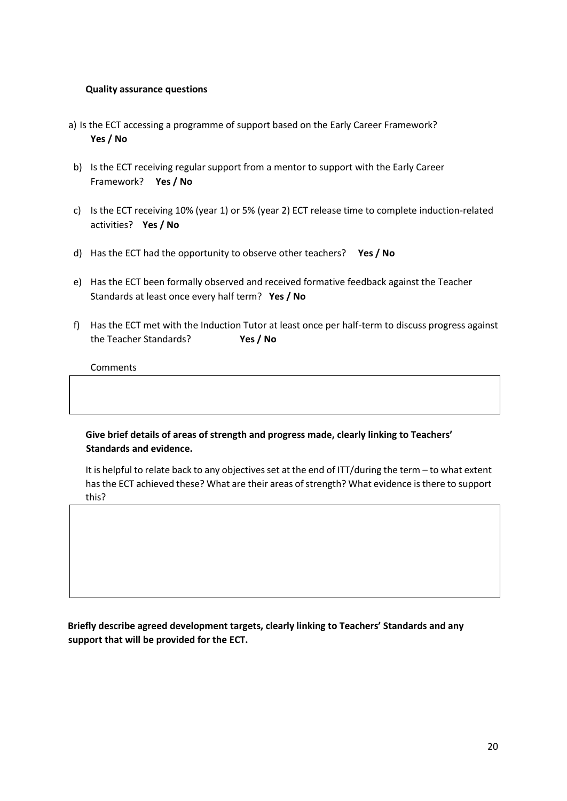### **Quality assurance questions**

- a) Is the ECT accessing a programme of support based on the Early Career Framework? **Yes / No**
- b) Is the ECT receiving regular support from a mentor to support with the Early Career Framework? **Yes / No**
- c) Is the ECT receiving 10% (year 1) or 5% (year 2) ECT release time to complete induction-related activities? **Yes / No**
- d) Has the ECT had the opportunity to observe other teachers? **Yes / No**
- e) Has the ECT been formally observed and received formative feedback against the Teacher Standards at least once every half term? **Yes / No**
- f) Has the ECT met with the Induction Tutor at least once per half-term to discuss progress against the Teacher Standards? **Yes / No**

**Comments** 

**Give brief details of areas of strength and progress made, clearly linking to Teachers' Standards and evidence.** 

It is helpful to relate back to any objectives set at the end of ITT/during the term – to what extent has the ECT achieved these? What are their areas of strength? What evidence is there to support this?

**Briefly describe agreed development targets, clearly linking to Teachers' Standards and any support that will be provided for the ECT.**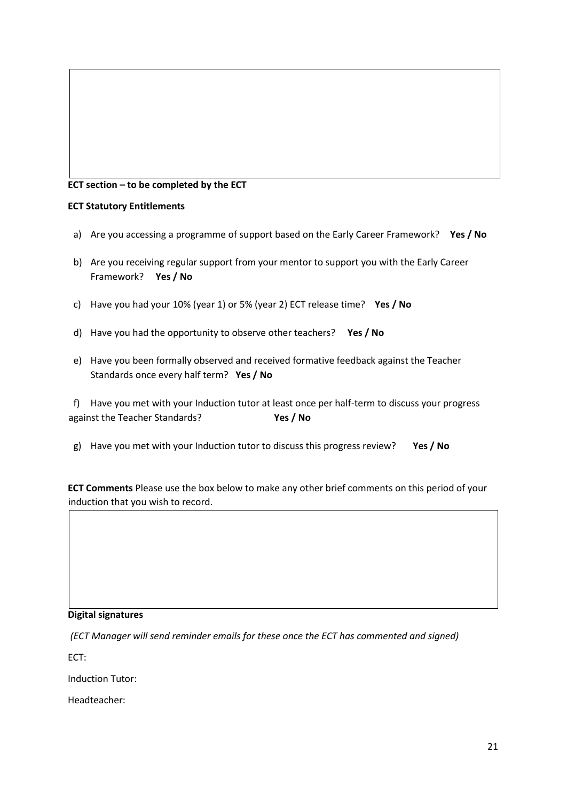### **ECT section – to be completed by the ECT**

### **ECT Statutory Entitlements**

- a) Are you accessing a programme of support based on the Early Career Framework? **Yes / No**
- b) Are you receiving regular support from your mentor to support you with the Early Career Framework? **Yes / No**
- c) Have you had your 10% (year 1) or 5% (year 2) ECT release time? **Yes / No**
- d) Have you had the opportunity to observe other teachers? **Yes / No**
- e) Have you been formally observed and received formative feedback against the Teacher Standards once every half term? **Yes / No**

f) Have you met with your Induction tutor at least once per half-term to discuss your progress against the Teacher Standards? **Yes / No**

g) Have you met with your Induction tutor to discuss this progress review? **Yes / No**

**ECT Comments** Please use the box below to make any other brief comments on this period of your induction that you wish to record.

### **Digital signatures**

*(ECT Manager will send reminder emails for these once the ECT has commented and signed)* 

ECT:

Induction Tutor:

Headteacher: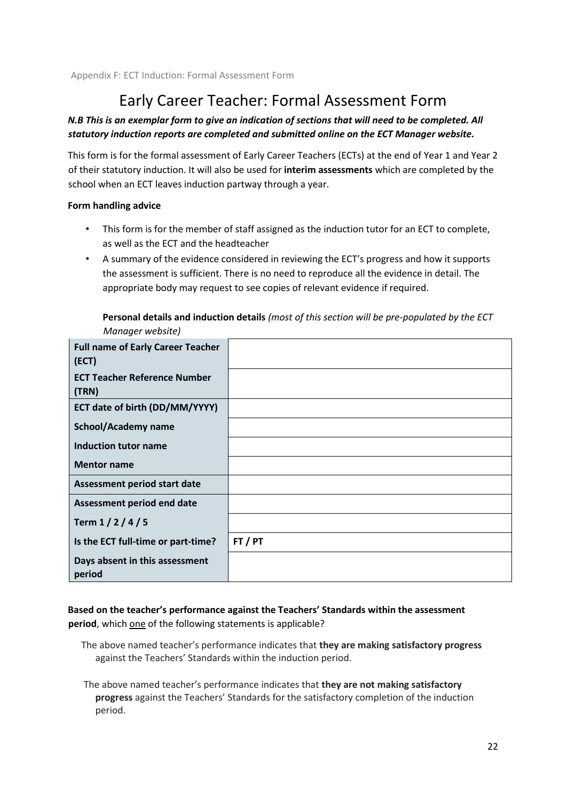## Early Career Teacher: Formal Assessment Form

### *N.B This is an exemplar form to give an indication of sections that will need to be completed. All statutory induction reports are completed and submitted online on the ECT Manager website.*

This form is for the formal assessment of Early Career Teachers (ECTs) at the end of Year 1 and Year 2 of their statutory induction. It will also be used for **interim assessments** which are completed by the school when an ECT leaves induction partway through a year.

### **Form handling advice**

- This form is for the member of staff assigned as the induction tutor for an ECT to complete, as well as the ECT and the headteacher
- A summary of the evidence considered in reviewing the ECT's progress and how it supports the assessment is sufficient. There is no need to reproduce all the evidence in detail. The appropriate body may request to see copies of relevant evidence if required.

| Manager website)                                  |         |
|---------------------------------------------------|---------|
| <b>Full name of Early Career Teacher</b><br>(ECT) |         |
| <b>ECT Teacher Reference Number</b><br>(TRN)      |         |
| ECT date of birth (DD/MM/YYYY)                    |         |
| School/Academy name                               |         |
| Induction tutor name                              |         |
| <b>Mentor name</b>                                |         |
| Assessment period start date                      |         |
| Assessment period end date                        |         |
| Term $1/2/4/5$                                    |         |
| Is the ECT full-time or part-time?                | FT / PT |
| Days absent in this assessment<br>period          |         |

**Personal details and induction details** *(most of this section will be pre-populated by the ECT* 

**Based on the teacher's performance against the Teachers' Standards within the assessment period**, which one of the following statements is applicable?

- The above named teacher's performance indicates that **they are making satisfactory progress** against the Teachers' Standards within the induction period.
- The above named teacher's performance indicates that **they are not making satisfactory progress** against the Teachers' Standards for the satisfactory completion of the induction period.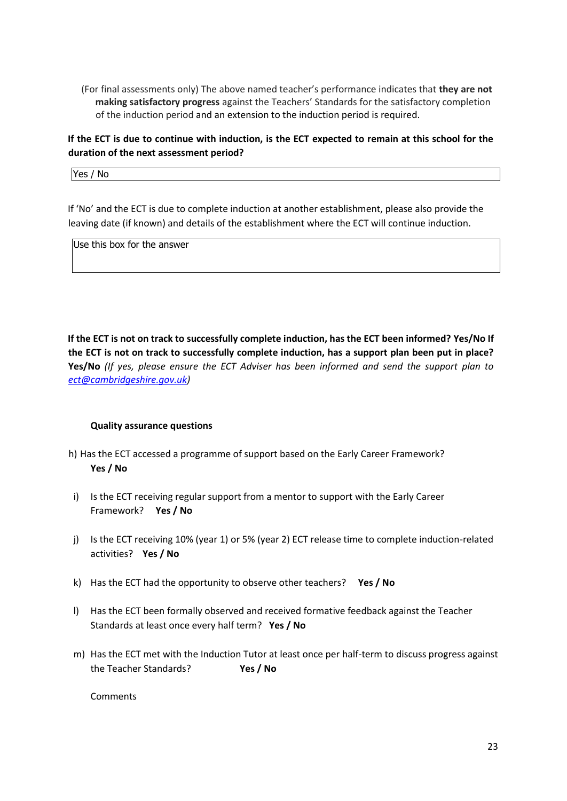(For final assessments only) The above named teacher's performance indicates that **they are not making satisfactory progress** against the Teachers' Standards for the satisfactory completion of the induction period and an extension to the induction period is required.

### **If the ECT is due to continue with induction, is the ECT expected to remain at this school for the duration of the next assessment period?**

Yes / No

If 'No' and the ECT is due to complete induction at another establishment, please also provide the leaving date (if known) and details of the establishment where the ECT will continue induction.

Use this box for the answer

**If the ECT is not on track to successfully complete induction, has the ECT been informed? Yes/No If the ECT is not on track to successfully complete induction, has a support plan been put in place? Yes/No** *(If yes, please ensure the ECT Adviser has been informed and send the support plan to ect@cambridgeshire.gov.uk)*

### **Quality assurance questions**

- h) Has the ECT accessed a programme of support based on the Early Career Framework? **Yes / No**
- i) Is the ECT receiving regular support from a mentor to support with the Early Career Framework? **Yes / No**
- j) Is the ECT receiving 10% (year 1) or 5% (year 2) ECT release time to complete induction-related activities? **Yes / No**
- k) Has the ECT had the opportunity to observe other teachers? **Yes / No**
- l) Has the ECT been formally observed and received formative feedback against the Teacher Standards at least once every half term? **Yes / No**
- m) Has the ECT met with the Induction Tutor at least once per half-term to discuss progress against the Teacher Standards? **Yes / No**

Comments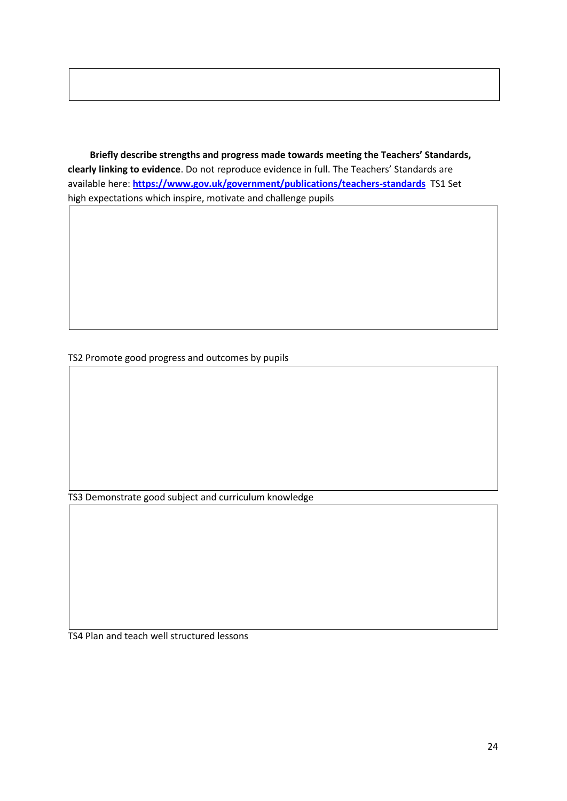**Briefly describe strengths and progress made towards meeting the Teachers' Standards, clearly linking to evidence**. Do not reproduce evidence in full. The Teachers' Standards are available here: **<https://www.gov.uk/government/publications/teachers-standards>** TS1 Set high expectations which inspire, motivate and challenge pupils

TS2 Promote good progress and outcomes by pupils

TS3 Demonstrate good subject and curriculum knowledge

TS4 Plan and teach well structured lessons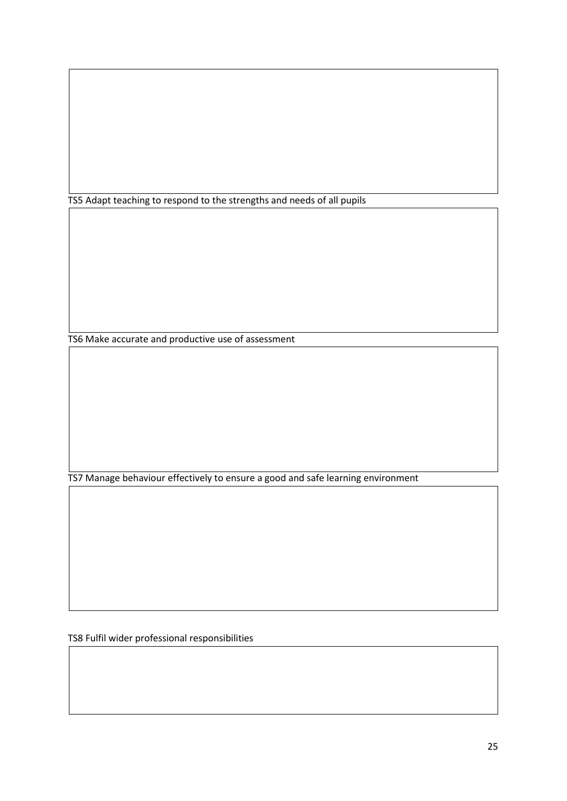TS5 Adapt teaching to respond to the strengths and needs of all pupils

TS6 Make accurate and productive use of assessment

TS7 Manage behaviour effectively to ensure a good and safe learning environment

TS8 Fulfil wider professional responsibilities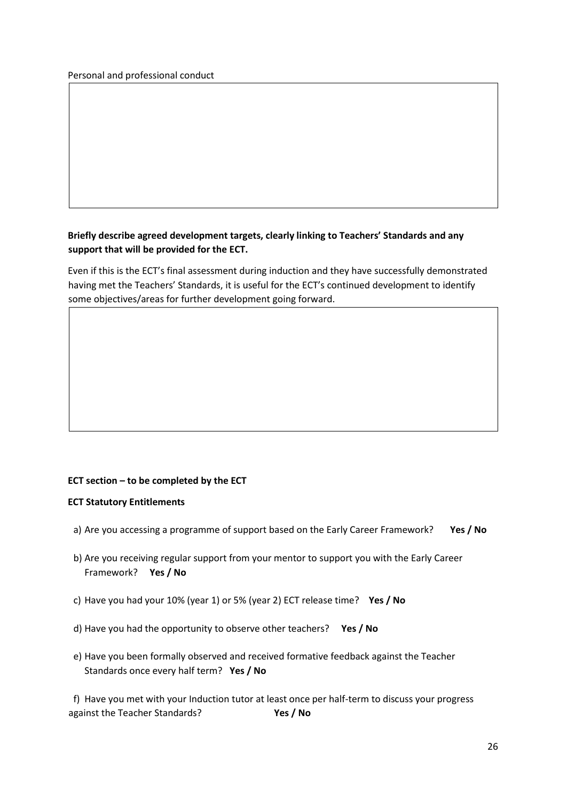### **Briefly describe agreed development targets, clearly linking to Teachers' Standards and any support that will be provided for the ECT.**

Even if this is the ECT's final assessment during induction and they have successfully demonstrated having met the Teachers' Standards, it is useful for the ECT's continued development to identify some objectives/areas for further development going forward.

### **ECT section – to be completed by the ECT**

### **ECT Statutory Entitlements**

- a) Are you accessing a programme of support based on the Early Career Framework? **Yes / No**
- b) Are you receiving regular support from your mentor to support you with the Early Career Framework? **Yes / No**
- c) Have you had your 10% (year 1) or 5% (year 2) ECT release time? **Yes / No**
- d) Have you had the opportunity to observe other teachers? **Yes / No**
- e) Have you been formally observed and received formative feedback against the Teacher Standards once every half term? **Yes / No**

f) Have you met with your Induction tutor at least once per half-term to discuss your progress against the Teacher Standards? **Yes / No**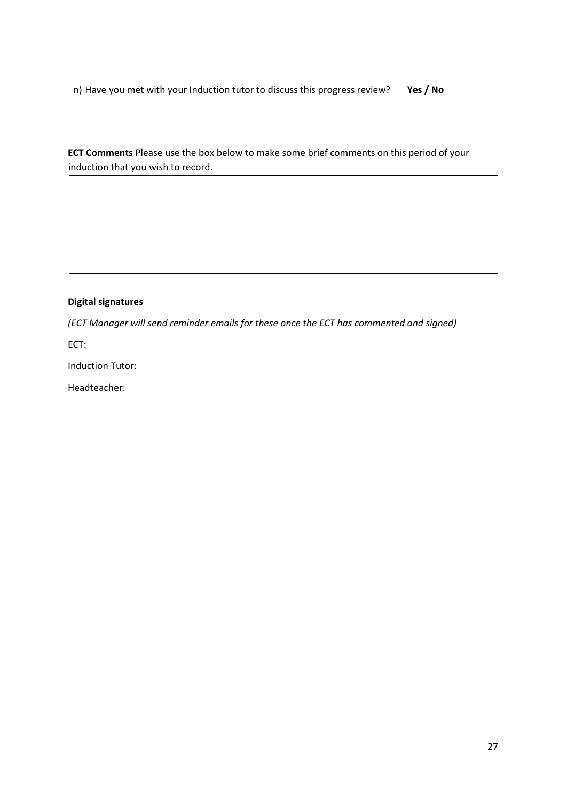n) Have you met with your Induction tutor to discuss this progress review? **Yes / No**

**ECT Comments** Please use the box below to make some brief comments on this period of your induction that you wish to record.

### **Digital signatures**

*(ECT Manager will send reminder emails for these once the ECT has commented and signed)*

ECT:

Induction Tutor:

Headteacher: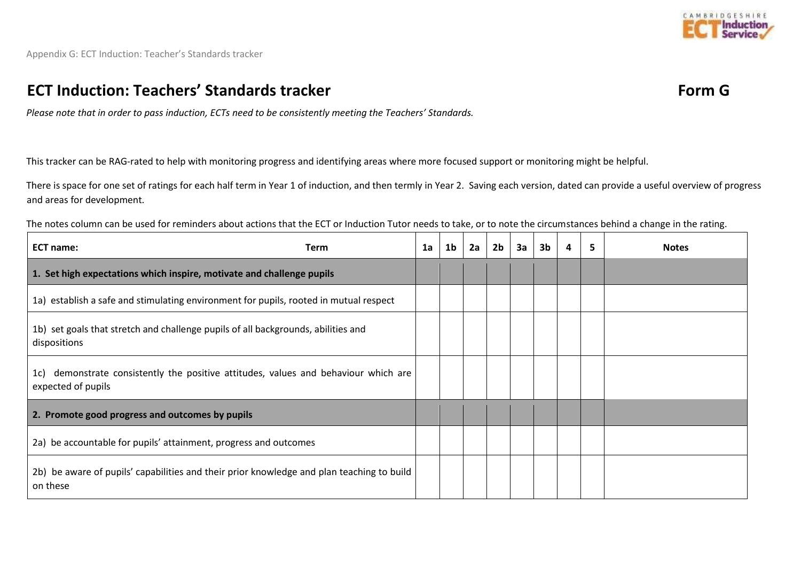

Appendix G: ECT Induction: Teacher's Standards tracker

### **ECT Induction: Teachers' Standards tracker Form G**

*Please note that in order to pass induction, ECTs need to be consistently meeting the Teachers' Standards.*

This tracker can be RAG-rated to help with monitoring progress and identifying areas where more focused support or monitoring might be helpful.

There is space for one set of ratings for each half term in Year 1 of induction, and then termly in Year 2. Saving each version, dated can provide a useful overview of progress and areas for development.

The notes column can be used for reminders about actions that the ECT or Induction Tutor needs to take, or to note the circumstances behind a change in the rating.

| <b>ECT name:</b><br><b>Term</b>                                                                           | 1a | 1 <sub>b</sub> | 2a | 2 <sub>b</sub> | 3a | 3 <sub>b</sub> | 4 | 5 | <b>Notes</b> |
|-----------------------------------------------------------------------------------------------------------|----|----------------|----|----------------|----|----------------|---|---|--------------|
| 1. Set high expectations which inspire, motivate and challenge pupils                                     |    |                |    |                |    |                |   |   |              |
| 1a) establish a safe and stimulating environment for pupils, rooted in mutual respect                     |    |                |    |                |    |                |   |   |              |
| 1b) set goals that stretch and challenge pupils of all backgrounds, abilities and<br>dispositions         |    |                |    |                |    |                |   |   |              |
| 1c) demonstrate consistently the positive attitudes, values and behaviour which are<br>expected of pupils |    |                |    |                |    |                |   |   |              |
| 2. Promote good progress and outcomes by pupils                                                           |    |                |    |                |    |                |   |   |              |
| 2a) be accountable for pupils' attainment, progress and outcomes                                          |    |                |    |                |    |                |   |   |              |
| 2b) be aware of pupils' capabilities and their prior knowledge and plan teaching to build<br>on these     |    |                |    |                |    |                |   |   |              |

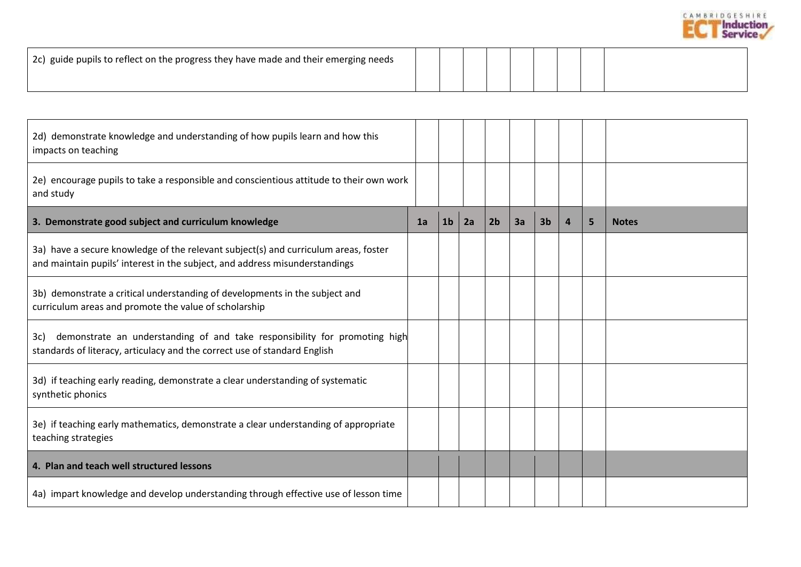

| 2c) guide pupils to reflect on the progress they have made and their emerging needs |  |  |  |  |
|-------------------------------------------------------------------------------------|--|--|--|--|
|                                                                                     |  |  |  |  |

| 2d) demonstrate knowledge and understanding of how pupils learn and how this<br>impacts on teaching                                                                |    |                |    |                |    |                |                |   |              |
|--------------------------------------------------------------------------------------------------------------------------------------------------------------------|----|----------------|----|----------------|----|----------------|----------------|---|--------------|
| 2e) encourage pupils to take a responsible and conscientious attitude to their own work<br>and study                                                               |    |                |    |                |    |                |                |   |              |
| 3. Demonstrate good subject and curriculum knowledge                                                                                                               | 1a | 1 <sub>b</sub> | 2a | 2 <sub>b</sub> | 3a | 3 <sub>b</sub> | $\overline{a}$ | 5 | <b>Notes</b> |
| 3a) have a secure knowledge of the relevant subject(s) and curriculum areas, foster<br>and maintain pupils' interest in the subject, and address misunderstandings |    |                |    |                |    |                |                |   |              |
| 3b) demonstrate a critical understanding of developments in the subject and<br>curriculum areas and promote the value of scholarship                               |    |                |    |                |    |                |                |   |              |
| demonstrate an understanding of and take responsibility for promoting high<br>3c)<br>standards of literacy, articulacy and the correct use of standard English     |    |                |    |                |    |                |                |   |              |
| 3d) if teaching early reading, demonstrate a clear understanding of systematic<br>synthetic phonics                                                                |    |                |    |                |    |                |                |   |              |
| 3e) if teaching early mathematics, demonstrate a clear understanding of appropriate<br>teaching strategies                                                         |    |                |    |                |    |                |                |   |              |
| 4. Plan and teach well structured lessons                                                                                                                          |    |                |    |                |    |                |                |   |              |
| 4a) impart knowledge and develop understanding through effective use of lesson time                                                                                |    |                |    |                |    |                |                |   |              |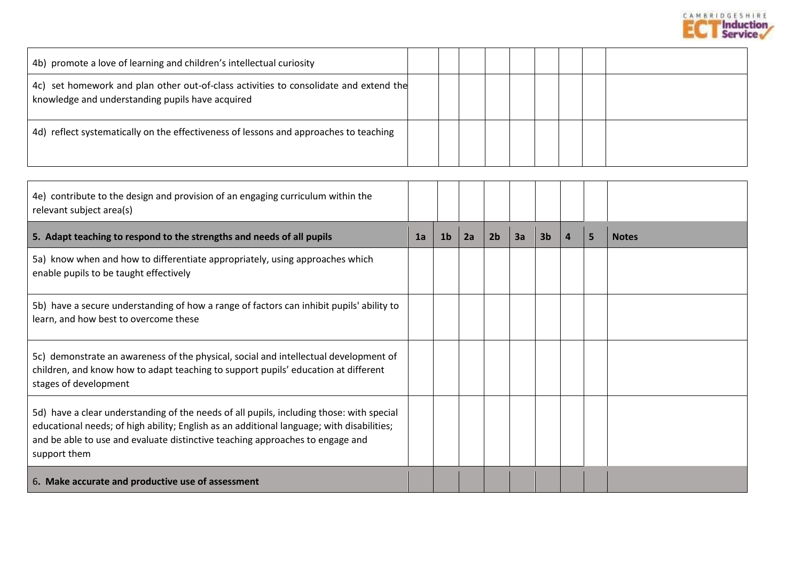

| 4b) promote a love of learning and children's intellectual curiosity                                                                                                                                                                                                                   |    |                |    |                |    |                |                |   |              |
|----------------------------------------------------------------------------------------------------------------------------------------------------------------------------------------------------------------------------------------------------------------------------------------|----|----------------|----|----------------|----|----------------|----------------|---|--------------|
| 4c) set homework and plan other out-of-class activities to consolidate and extend the<br>knowledge and understanding pupils have acquired                                                                                                                                              |    |                |    |                |    |                |                |   |              |
| 4d) reflect systematically on the effectiveness of lessons and approaches to teaching                                                                                                                                                                                                  |    |                |    |                |    |                |                |   |              |
|                                                                                                                                                                                                                                                                                        |    |                |    |                |    |                |                |   |              |
| 4e) contribute to the design and provision of an engaging curriculum within the<br>relevant subject area(s)                                                                                                                                                                            |    |                |    |                |    |                |                |   |              |
| 5. Adapt teaching to respond to the strengths and needs of all pupils                                                                                                                                                                                                                  | 1a | 1 <sub>b</sub> | 2a | 2 <sub>b</sub> | 3a | 3 <sub>b</sub> | $\overline{a}$ | 5 | <b>Notes</b> |
| 5a) know when and how to differentiate appropriately, using approaches which<br>enable pupils to be taught effectively                                                                                                                                                                 |    |                |    |                |    |                |                |   |              |
| 5b) have a secure understanding of how a range of factors can inhibit pupils' ability to<br>learn, and how best to overcome these                                                                                                                                                      |    |                |    |                |    |                |                |   |              |
| 5c) demonstrate an awareness of the physical, social and intellectual development of<br>children, and know how to adapt teaching to support pupils' education at different<br>stages of development                                                                                    |    |                |    |                |    |                |                |   |              |
| 5d) have a clear understanding of the needs of all pupils, including those: with special<br>educational needs; of high ability; English as an additional language; with disabilities;<br>and be able to use and evaluate distinctive teaching approaches to engage and<br>support them |    |                |    |                |    |                |                |   |              |
| 6. Make accurate and productive use of assessment                                                                                                                                                                                                                                      |    |                |    |                |    |                |                |   |              |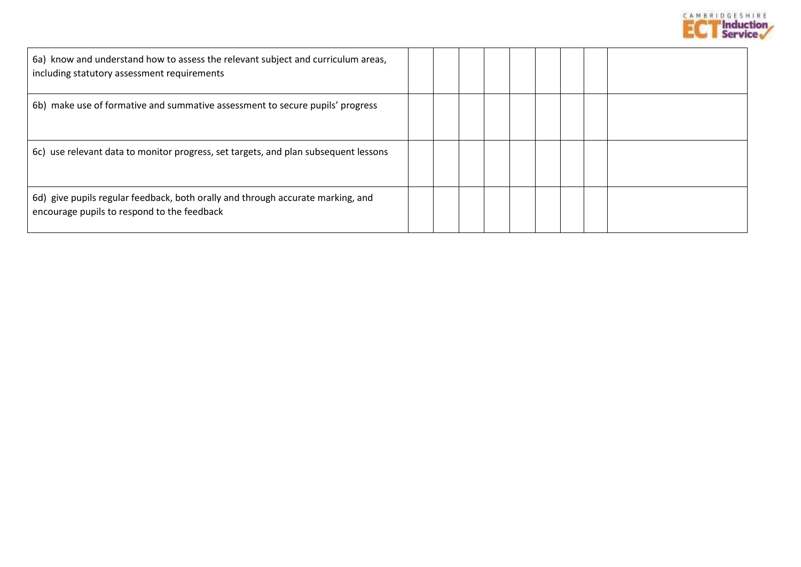

| 6a) know and understand how to assess the relevant subject and curriculum areas,<br>including statutory assessment requirements |  |  |  |  |
|---------------------------------------------------------------------------------------------------------------------------------|--|--|--|--|
| 6b) make use of formative and summative assessment to secure pupils' progress                                                   |  |  |  |  |
| 6c) use relevant data to monitor progress, set targets, and plan subsequent lessons                                             |  |  |  |  |
| 6d) give pupils regular feedback, both orally and through accurate marking, and<br>encourage pupils to respond to the feedback  |  |  |  |  |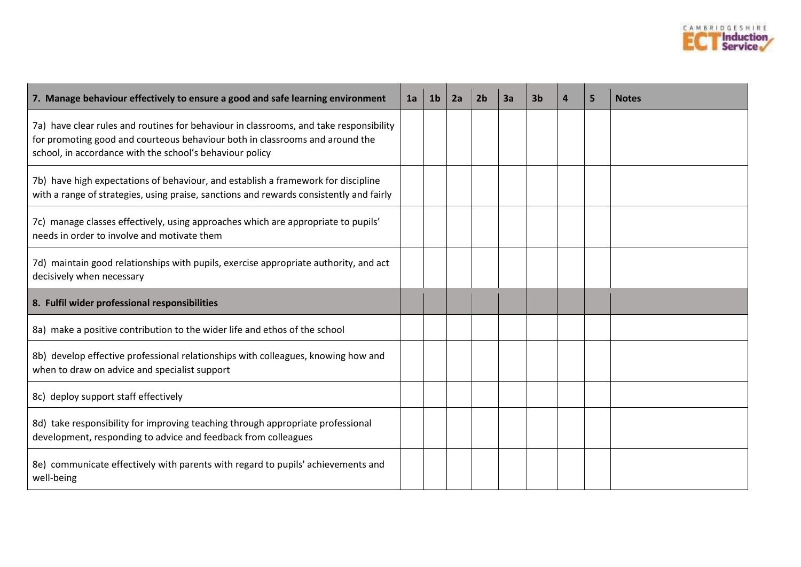

| 7. Manage behaviour effectively to ensure a good and safe learning environment                                                                                                                                                     | 1a | 1 <sub>b</sub> | 2a | 2 <sub>b</sub> | 3a | 3 <sub>b</sub> | $\overline{a}$ | 5 | <b>Notes</b> |
|------------------------------------------------------------------------------------------------------------------------------------------------------------------------------------------------------------------------------------|----|----------------|----|----------------|----|----------------|----------------|---|--------------|
| 7a) have clear rules and routines for behaviour in classrooms, and take responsibility<br>for promoting good and courteous behaviour both in classrooms and around the<br>school, in accordance with the school's behaviour policy |    |                |    |                |    |                |                |   |              |
| 7b) have high expectations of behaviour, and establish a framework for discipline<br>with a range of strategies, using praise, sanctions and rewards consistently and fairly                                                       |    |                |    |                |    |                |                |   |              |
| 7c) manage classes effectively, using approaches which are appropriate to pupils'<br>needs in order to involve and motivate them                                                                                                   |    |                |    |                |    |                |                |   |              |
| 7d) maintain good relationships with pupils, exercise appropriate authority, and act<br>decisively when necessary                                                                                                                  |    |                |    |                |    |                |                |   |              |
| 8. Fulfil wider professional responsibilities                                                                                                                                                                                      |    |                |    |                |    |                |                |   |              |
| 8a) make a positive contribution to the wider life and ethos of the school                                                                                                                                                         |    |                |    |                |    |                |                |   |              |
| 8b) develop effective professional relationships with colleagues, knowing how and<br>when to draw on advice and specialist support                                                                                                 |    |                |    |                |    |                |                |   |              |
| 8c) deploy support staff effectively                                                                                                                                                                                               |    |                |    |                |    |                |                |   |              |
| 8d) take responsibility for improving teaching through appropriate professional<br>development, responding to advice and feedback from colleagues                                                                                  |    |                |    |                |    |                |                |   |              |
| 8e) communicate effectively with parents with regard to pupils' achievements and<br>well-being                                                                                                                                     |    |                |    |                |    |                |                |   |              |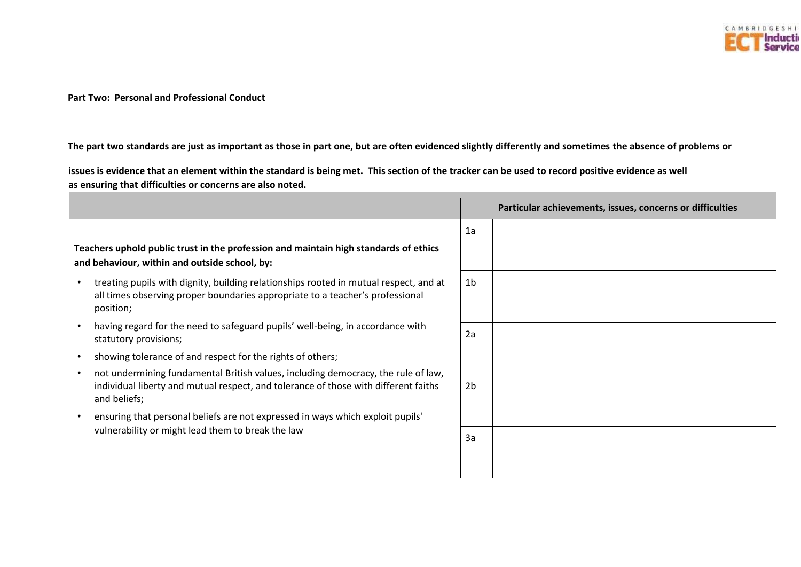

**Part Two: Personal and Professional Conduct** 

**The part two standards are just as important as those in part one, but are often evidenced slightly differently and sometimes the absence of problems or** 

**issues is evidence that an element within the standard is being met. This section of the tracker can be used to record positive evidence as well as ensuring that difficulties or concerns are also noted.** 

|                                                                                                                                                                                     |                | Particular achievements, issues, concerns or difficulties |
|-------------------------------------------------------------------------------------------------------------------------------------------------------------------------------------|----------------|-----------------------------------------------------------|
|                                                                                                                                                                                     | 1a             |                                                           |
| Teachers uphold public trust in the profession and maintain high standards of ethics<br>and behaviour, within and outside school, by:                                               |                |                                                           |
| treating pupils with dignity, building relationships rooted in mutual respect, and at<br>all times observing proper boundaries appropriate to a teacher's professional<br>position; | 1 <sub>b</sub> |                                                           |
| having regard for the need to safeguard pupils' well-being, in accordance with<br>statutory provisions;                                                                             | 2a             |                                                           |
| showing tolerance of and respect for the rights of others;                                                                                                                          |                |                                                           |
| not undermining fundamental British values, including democracy, the rule of law,                                                                                                   |                |                                                           |
| individual liberty and mutual respect, and tolerance of those with different faiths<br>and beliefs;                                                                                 | 2 <sub>b</sub> |                                                           |
| ensuring that personal beliefs are not expressed in ways which exploit pupils'                                                                                                      |                |                                                           |
| vulnerability or might lead them to break the law                                                                                                                                   | 3a             |                                                           |
|                                                                                                                                                                                     |                |                                                           |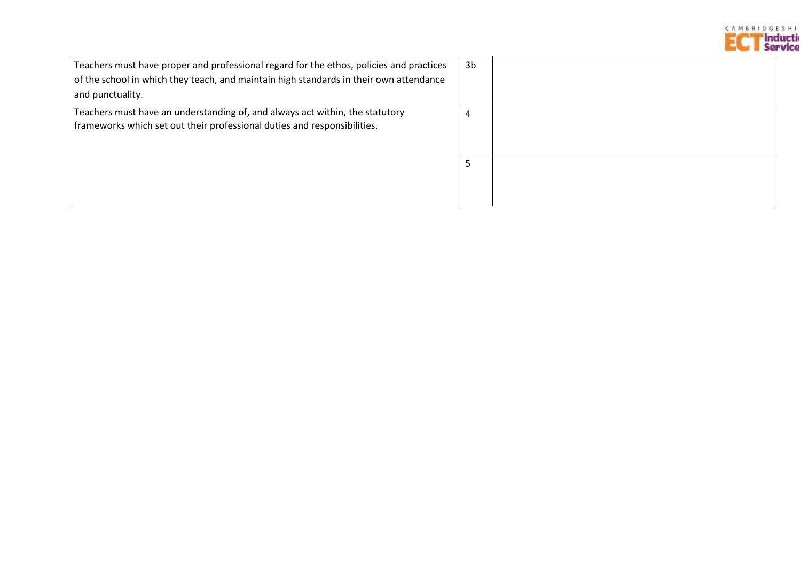

| Teachers must have proper and professional regard for the ethos, policies and practices<br>of the school in which they teach, and maintain high standards in their own attendance<br>and punctuality. | 3b |
|-------------------------------------------------------------------------------------------------------------------------------------------------------------------------------------------------------|----|
| Teachers must have an understanding of, and always act within, the statutory<br>frameworks which set out their professional duties and responsibilities.                                              | 4  |
|                                                                                                                                                                                                       |    |